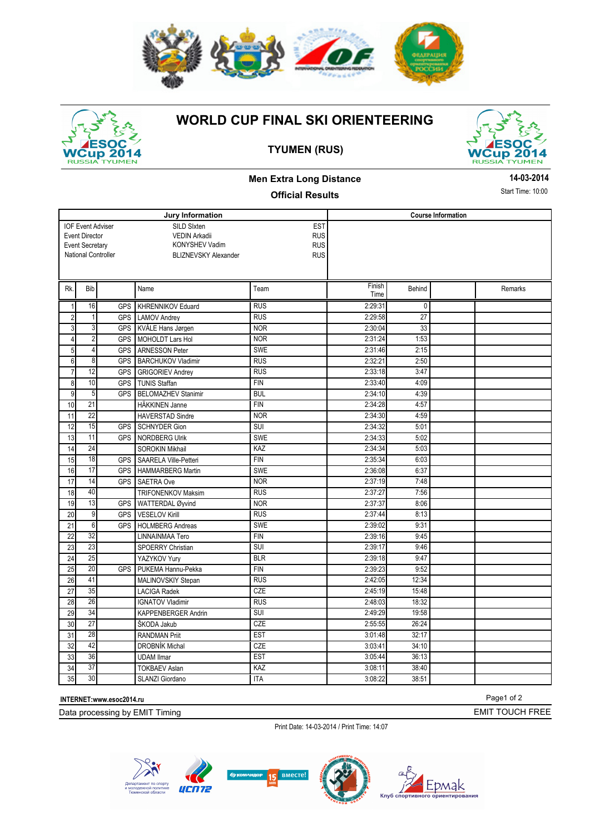

# up 2014 **RUSSI** UME

### **WORLD CUP FINAL SKI ORIENTEERING**

**TYUMEN (RUS)** 





**14-03-2014** Start Time: 10:00

### **Men Extra Long Distance**

#### **Official Results**

**Jury Information**  SILD SIxten VEDIN Arkadii KONYSHEV Vadim BLIZNEVSKY Alexander National Controller **EST** RUS RUS RUS **Course Information**  IOF Event Adviser Event Director Event Secretary Rk. Bib Name Rk. Ream Finish Time Behind Remarks 1 16 GPS KHRENNIKOV Eduard RUS RUS 2:29:31 0 2 1 GPS LAMOV Andrey RUS RUS 2:29:58 27 3 3 GPS KVÅLE Hans Jørgen NOR NOR 2:30:04 33 4 2 GPS MOHOLDT Lars Hol NOR 2:31:24 1:53 5 4 GPS ARNESSON Peter SWE SWE 2:31:46 2:31 6 8 GPS BARCHUKOV Vladimir RUS RUS 2:32:21 2:50 7 12 GPS GRIGORIEV Andrey RUS 2:33:18 3:47 8 10 GPS TUNIS Staffan FIN FIN 2:33:40 4:09 9 5 GPS BELOMAZHEV Stanimir BUL 1 2:34:10 4:39 10 21 HÄKKINEN Janne FIN 2:34:28 4:57 11 22 HAVERSTAD Sindre NOR 102:34:30 4:59 12 15 GPS SCHNYDER Gion SUI 3UI 2:34:32 5:01 13 11 GPS NORDBERG Ulrik SWE 2:34:33 5:02 14 24 SOROKIN Mikhail KAZ 2:34:34 5:03 15 18 GPS SAARELA Ville-Petteri FIN 2:35:34 6:03 16 17 GPS HAMMARBERG Martin SWE SWE 2:36:08 6:37 17 14 GPS SAETRA Ove NOR NOR 2:37:19 7:48 18 40 TRIFONENKOV Maksim RUS 2:37:27 7:56 19 13 GPS WATTERDAL Øyvind NOR 2:37:37 8:06 20 9 GPS VESELOV Kirill RUS RUS 2:37:44 8:13 21 6 GPS HOLMBERG Andreas SWE 3WE 2:39:02 9:31 22 32 LINNAINMAA Tero FIN FIN 2:39:16 9:45 23 23 23 SPOERRY Christian SUI 2:39:17 9:46<br>21 25 VAZYKOV Yurv BLR 2:39:18 9:47 24 25 YAZYKOV Yury BLR 2:39:18 9:47 25 20 GPS PUKEMA Hannu-Pekka FIN FIN 2:39:23 9:52 26 41 MALINOVSKIY Stepan RUS RUS 2:42:05 12:34 27 35 LACIGA Radek CZE 2:45:19 15:48 28 26 IGNATOV Vladimir RUS RUS 2:48:03 18:32 29 34 KAPPENBERGER Andrin SUI SUI 2:49:29 19:58 30 27 ŠKODA Jakub CZE 2:55:55 26:24 31 28 RANDMAN Priit EST 3:01:48 32:17 32 42 DROBNÍK Michal CZE 3:03:41 34:10 33 36 UDAM Ilmar EST 5:05:44 36:13 34 37 TOKBAEV Aslan KAZ 3:08:11 38:40 35 30 SLANZI Giordano ITA 3:08:22 38:51

**INTERNET:www.esoc2014.ru** 

Data processing by EMIT Timing

Print Date: 14-03-2014 / Print Time: 14:07



Page1 of 2

EMIT TOUCH FREE